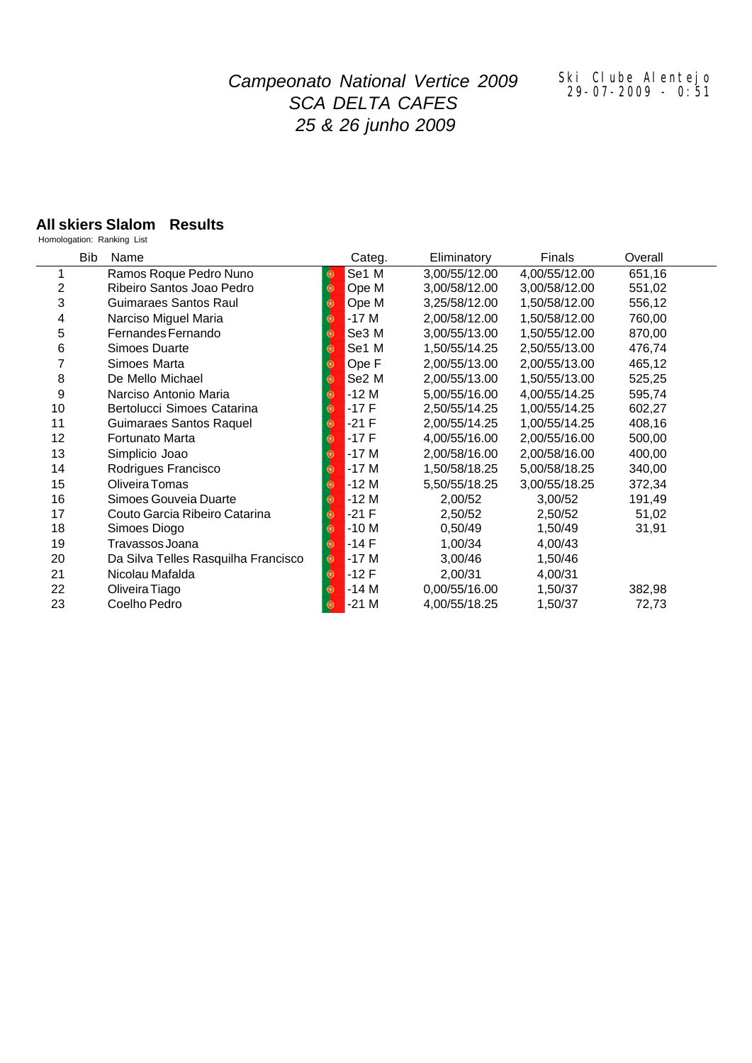# *Campeonato National Vertice 2009 SCA DELTA CAFES 25 & 26 junho 2009*

#### *Ski Clube Alentejo 29-07-2009 - 0:51*

### **All skiers Slalom Results**

Homologation: Ranking List

|    | Bib<br>Name                         |           | Categ.            | Eliminatory   | Finals        | Overall |
|----|-------------------------------------|-----------|-------------------|---------------|---------------|---------|
|    | Ramos Roque Pedro Nuno              | $\bullet$ | Se1 M             | 3,00/55/12.00 | 4,00/55/12.00 | 651,16  |
| 2  | Ribeiro Santos Joao Pedro           | Θ         | Ope M             | 3,00/58/12.00 | 3,00/58/12.00 | 551,02  |
| 3  | Guimaraes Santos Raul               |           | Ope M             | 3,25/58/12.00 | 1,50/58/12.00 | 556,12  |
| 4  | Narciso Miguel Maria                | o         | $-17M$            | 2,00/58/12.00 | 1,50/58/12.00 | 760,00  |
| 5  | Fernandes Fernando                  |           | Se3 M             | 3,00/55/13.00 | 1,50/55/12.00 | 870,00  |
| 6  | Simoes Duarte                       | ω         | Se <sub>1</sub> M | 1,50/55/14.25 | 2,50/55/13.00 | 476,74  |
| 7  | Simoes Marta                        | o         | Ope F             | 2,00/55/13.00 | 2,00/55/13.00 | 465,12  |
| 8  | De Mello Michael                    | Θ         | Se2 M             | 2,00/55/13.00 | 1,50/55/13.00 | 525,25  |
| 9  | Narciso Antonio Maria               |           | $-12M$            | 5,00/55/16.00 | 4,00/55/14.25 | 595,74  |
| 10 | Bertolucci Simoes Catarina          | o         | $-17F$            | 2,50/55/14.25 | 1,00/55/14.25 | 602,27  |
| 11 | Guimaraes Santos Raquel             | Θ         | $-21$ F           | 2,00/55/14.25 | 1,00/55/14.25 | 408,16  |
| 12 | Fortunato Marta                     |           | $-17F$            | 4,00/55/16.00 | 2,00/55/16.00 | 500,00  |
| 13 | Simplicio Joao                      | Θ         | $-17M$            | 2,00/58/16.00 | 2,00/58/16.00 | 400,00  |
| 14 | Rodrigues Francisco                 |           | $-17M$            | 1,50/58/18.25 | 5,00/58/18.25 | 340,00  |
| 15 | Oliveira Tomas                      | Θ         | $-12M$            | 5,50/55/18.25 | 3,00/55/18.25 | 372,34  |
| 16 | Simoes Gouveia Duarte               |           | $-12M$            | 2,00/52       | 3,00/52       | 191,49  |
| 17 | Couto Garcia Ribeiro Catarina       |           | $-21 F$           | 2,50/52       | 2,50/52       | 51,02   |
| 18 | Simoes Diogo                        |           | $-10M$            | 0,50/49       | 1,50/49       | 31,91   |
| 19 | Travassos Joana                     |           | $-14F$            | 1,00/34       | 4,00/43       |         |
| 20 | Da Silva Telles Rasquilha Francisco | ۰         | $-17M$            | 3,00/46       | 1,50/46       |         |
| 21 | Nicolau Mafalda                     | Θ         | $-12F$            | 2,00/31       | 4,00/31       |         |
| 22 | Oliveira Tiago                      |           | $-14M$            | 0,00/55/16.00 | 1,50/37       | 382,98  |
| 23 | Coelho Pedro                        |           | $-21M$            | 4,00/55/18.25 | 1,50/37       | 72,73   |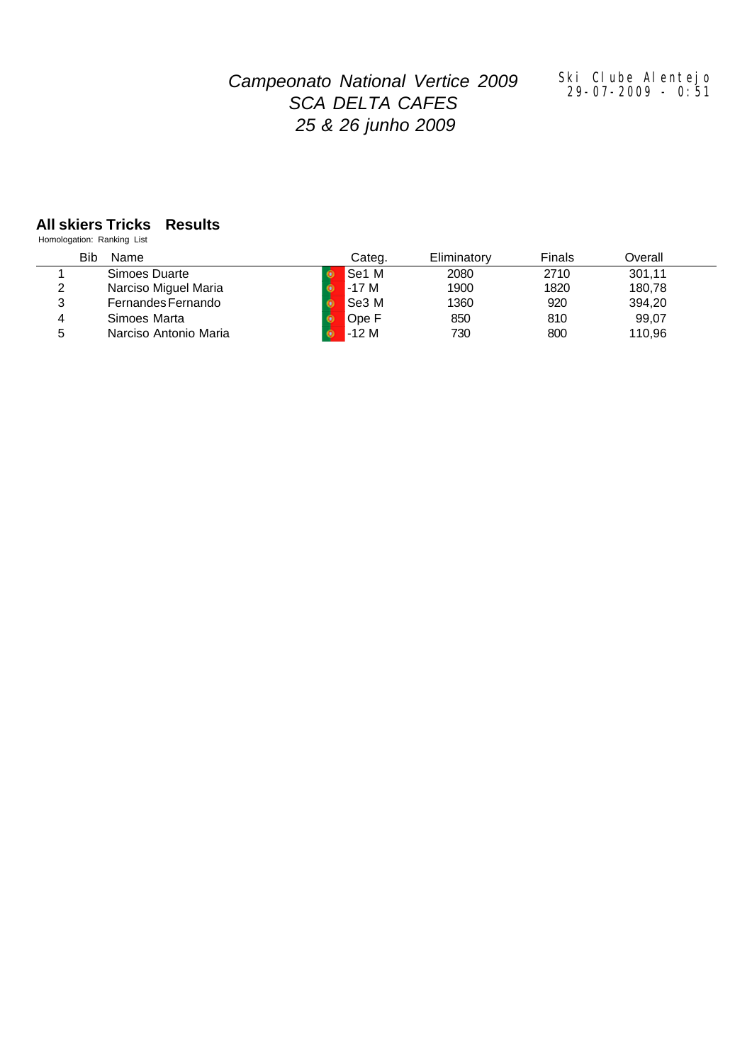# *Campeonato National Vertice 2009 SCA DELTA CAFES 25 & 26 junho 2009*

#### *Ski Clube Alentejo 29-07-2009 - 0:51*

### **All skiers Tricks Results**

Homologation: Ranking List

|   | Bib<br>Name           | Categ.       | Eliminatory | Finals | Overall |  |
|---|-----------------------|--------------|-------------|--------|---------|--|
|   | Simoes Duarte         | <b>Se1 M</b> | 2080        | 2710   | 301,11  |  |
| 2 | Narciso Miguel Maria  | $-17M$       | 1900        | 1820   | 180,78  |  |
| 3 | Fernandes Fernando    | Se3 M        | 1360        | 920    | 394,20  |  |
| 4 | Simoes Marta          | Ope F        | 850         | 810    | 99,07   |  |
| 5 | Narciso Antonio Maria | $-12M$       | 730         | 800    | 110,96  |  |